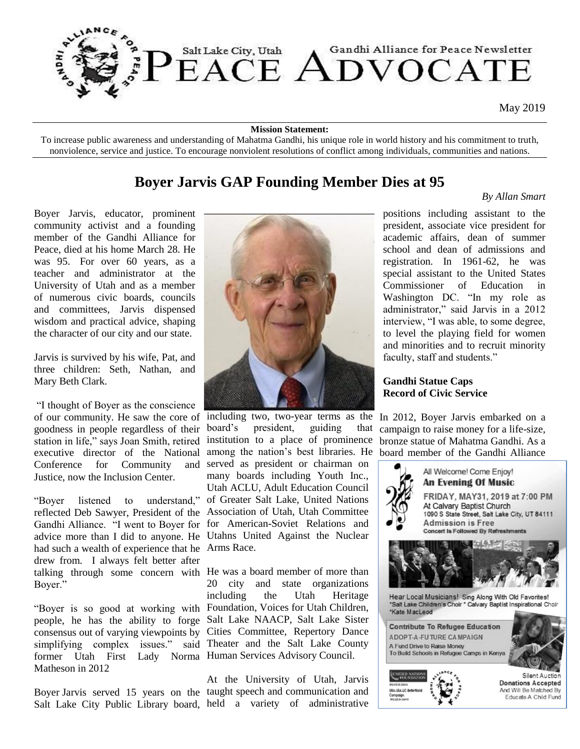

May 2019

#### **Mission Statement:**

To increase public awareness and understanding of Mahatma Gandhi, his unique role in world history and his commitment to truth, nonviolence, service and justice. To encourage nonviolent resolutions of conflict among individuals, communities and nations.

### **Boyer Jarvis GAP Founding Member Dies at 95**

### *By Allan Smart*

Boyer Jarvis, educator, prominent community activist and a founding member of the Gandhi Alliance for Peace, died at his home March 28. He was 95. For over 60 years, as a teacher and administrator at the University of Utah and as a member of numerous civic boards, councils and committees, Jarvis dispensed wisdom and practical advice, shaping the character of our city and our state.

Jarvis is survived by his wife, Pat, and three children: Seth, Nathan, and Mary Beth Clark.

"I thought of Boyer as the conscience of our community. He saw the core of including two, two-year terms as the goodness in people regardless of their station in life," says Joan Smith, retired institution to a place of prominence executive director of the National among the nation's best libraries. He Conference for Community Justice, now the Inclusion Center.

reflected Deb Sawyer, President of the Association of Utah, Utah Committee Gandhi Alliance. "I went to Boyer for for American-Soviet Relations and advice more than I did to anyone. He Utahns United Against the Nuclear had such a wealth of experience that he Arms Race. drew from. I always felt better after talking through some concern with He was a board member of more than Boyer."

people, he has the ability to forge Salt Lake NAACP, Salt Lake Sister consensus out of varying viewpoints by Cities Committee, Repertory Dance simplifying complex issues." said Theater and the Salt Lake County former Utah First Lady Norma Human Services Advisory Council. Matheson in 2012

Boyer Jarvis served 15 years on the taught speech and communication and Salt Lake City Public Library board, held a variety of administrative



"Boyer listened to understand," of Greater Salt Lake, United Nations president, guiding that and served as president or chairman on many boards including Youth Inc., Utah ACLU, Adult Education Council

"Boyer is so good at working with Foundation, Voices for Utah Children, 20 city and state organizations including the Utah Heritage

At the University of Utah, Jarvis

positions including assistant to the president, associate vice president for academic affairs, dean of summer school and dean of admissions and registration. In 1961-62, he was special assistant to the United States Commissioner of Education in Washington DC. "In my role as administrator," said Jarvis in a 2012 interview, "I was able, to some degree, to level the playing field for women and minorities and to recruit minority faculty, staff and students."

**Gandhi Statue Caps Record of Civic Service**

In 2012, Boyer Jarvis embarked on a campaign to raise money for a life-size, bronze statue of Mahatma Gandhi. As a board member of the Gandhi Alliance

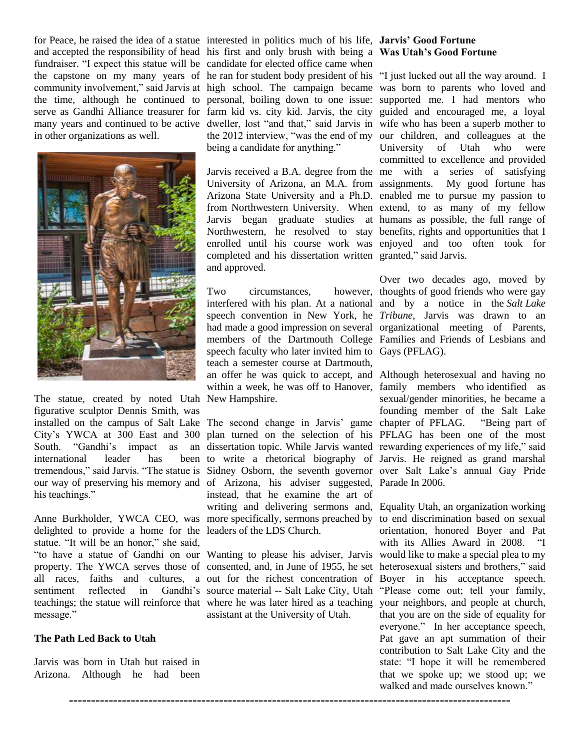and accepted the responsibility of head his first and only brush with being a **Was Utah's Good Fortune** fundraiser. "I expect this statue will be candidate for elected office came when the capstone on my many years of he ran for student body president of his "I just lucked out all the way around. I in other organizations as well.



The statue, created by noted Utah New Hampshire. figurative sculptor Dennis Smith, was international leader has his teachings."

delighted to provide a home for the leaders of the LDS Church. statue. "It will be an honor," she said, all races, faiths and cultures, a out for the richest concentration of sentiment reflected in Gandhi's source material -- Salt Lake City, Utah message."

### **The Path Led Back to Utah**

Jarvis was born in Utah but raised in Arizona. Although he had been

for Peace, he raised the idea of a statue interested in politics much of his life, **Jarvis' Good Fortune**  being a candidate for anything."

> Jarvis received a B.A. degree from the me with a series of satisfying University of Arizona, an M.A. from assignments. My good fortune has Arizona State University and a Ph.D. enabled me to pursue my passion to from Northwestern University. When extend, to as many of my fellow Jarvis began graduate studies at humans as possible, the full range of Northwestern, he resolved to stay benefits, rights and opportunities that I enrolled until his course work was enjoyed and too often took for completed and his dissertation written granted," said Jarvis. and approved.

> Two circumstances, interfered with his plan. At a national and by a notice in the *Salt Lake*  speech convention in New York, he *Tribune*, Jarvis was drawn to an had made a good impression on several organizational meeting of Parents, members of the Dartmouth College Families and Friends of Lesbians and speech faculty who later invited him to Gays (PFLAG). teach a semester course at Dartmouth, an offer he was quick to accept, and Although heterosexual and having no within a week, he was off to Hanover, family members who identified as

installed on the campus of Salt Lake The second change in Jarvis' game chapter of PFLAG. "Being part of City's YWCA at 300 East and 300 plan turned on the selection of his PFLAG has been one of the most South. "Gandhi's impact as an dissertation topic. While Jarvis wanted rewarding experiences of my life," said tremendous," said Jarvis. "The statue is Sidney Osborn, the seventh governor over Salt Lake's annual Gay Pride our way of preserving his memory and of Arizona, his adviser suggested, Parade In 2006. Anne Burkholder, YWCA CEO, was more specifically, sermons preached by to end discrimination based on sexual to write a rhetorical biography of Jarvis. He reigned as grand marshal instead, that he examine the art of writing and delivering sermons and, Equality Utah, an organization working

"to have a statue of Gandhi on our Wanting to please his adviser, Jarvis would like to make a special plea to my property. The YWCA serves those of consented, and, in June of 1955, he set heterosexual sisters and brothers," said teachings; the statue will reinforce that where he was later hired as a teaching your neighbors, and people at church, assistant at the University of Utah.

*----------------------------------------------------------------------------------------------------*

community involvement," said Jarvis at high school. The campaign became was born to parents who loved and the time, although he continued to personal, boiling down to one issue: supported me. I had mentors who serve as Gandhi Alliance treasurer for farm kid vs. city kid. Jarvis, the city guided and encouraged me, a loyal many years and continued to be active dweller, lost "and that," said Jarvis in wife who has been a superb mother to the 2012 interview, "was the end of my our children, and colleagues at the University of Utah who were committed to excellence and provided

> Over two decades ago, moved by however, thoughts of good friends who were gay

> > sexual/gender minorities, he became a founding member of the Salt Lake

> > orientation, honored Boyer and Pat with its Allies Award in 2008. "I Boyer in his acceptance speech. "Please come out; tell your family, that you are on the side of equality for everyone." In her acceptance speech, Pat gave an apt summation of their contribution to Salt Lake City and the state: "I hope it will be remembered that we spoke up; we stood up; we walked and made ourselves known."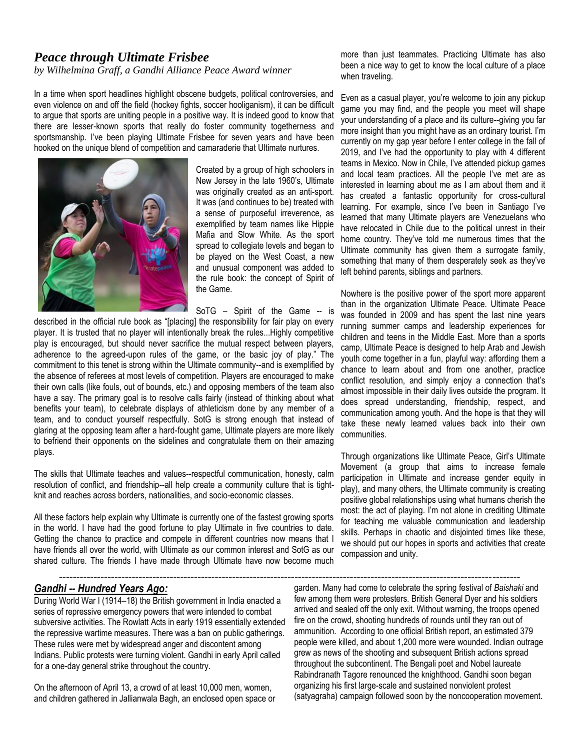### *Peace through Ultimate Frisbee*

*by Wilhelmina Graff, a Gandhi Alliance Peace Award winner*

In a time when sport headlines highlight obscene budgets, political controversies, and even violence on and off the field (hockey fights, soccer hooliganism), it can be difficult to argue that sports are uniting people in a positive way. It is indeed good to know that there are lesser-known sports that really do foster community togetherness and sportsmanship. I've been playing Ultimate Frisbee for seven years and have been hooked on the unique blend of competition and camaraderie that Ultimate nurtures.



Created by a group of high schoolers in New Jersey in the late 1960's, Ultimate was originally created as an anti-sport. It was (and continues to be) treated with a sense of purposeful irreverence, as exemplified by team names like Hippie Mafia and Slow White. As the sport spread to collegiate levels and began to be played on the West Coast, a new and unusual component was added to the rule book: the concept of Spirit of the Game.

SoTG - Spirit of the Game -- is

-------------------------------------------------------------------------------------------------------------------------------------

described in the official rule book as "[placing] the responsibility for fair play on every player. It is trusted that no player will intentionally break the rules...Highly competitive play is encouraged, but should never sacrifice the mutual respect between players, adherence to the agreed-upon rules of the game, or the basic joy of play." The commitment to this tenet is strong within the Ultimate community--and is exemplified by the absence of referees at most levels of competition. Players are encouraged to make their own calls (like fouls, out of bounds, etc.) and opposing members of the team also have a say. The primary goal is to resolve calls fairly (instead of thinking about what benefits your team), to celebrate displays of athleticism done by any member of a team, and to conduct yourself respectfully. SotG is strong enough that instead of glaring at the opposing team after a hard-fought game, Ultimate players are more likely to befriend their opponents on the sidelines and congratulate them on their amazing plays.

The skills that Ultimate teaches and values--respectful communication, honesty, calm resolution of conflict, and friendship--all help create a community culture that is tightknit and reaches across borders, nationalities, and socio-economic classes.

All these factors help explain why Ultimate is currently one of the fastest growing sports in the world. I have had the good fortune to play Ultimate in five countries to date. Getting the chance to practice and compete in different countries now means that I have friends all over the world, with Ultimate as our common interest and SotG as our shared culture. The friends I have made through Ultimate have now become much

more than just teammates. Practicing Ultimate has also been a nice way to get to know the local culture of a place when traveling.

Even as a casual player, you're welcome to join any pickup game you may find, and the people you meet will shape your understanding of a place and its culture--giving you far more insight than you might have as an ordinary tourist. I'm currently on my gap year before I enter college in the fall of 2019, and I've had the opportunity to play with 4 different teams in Mexico. Now in Chile, I've attended pickup games and local team practices. All the people I've met are as interested in learning about me as I am about them and it has created a fantastic opportunity for cross-cultural learning. For example, since I've been in Santiago I've learned that many Ultimate players are Venezuelans who have relocated in Chile due to the political unrest in their home country. They've told me numerous times that the Ultimate community has given them a surrogate family, something that many of them desperately seek as they've left behind parents, siblings and partners.

Nowhere is the positive power of the sport more apparent than in the organization Ultimate Peace. Ultimate Peace was founded in 2009 and has spent the last nine years running summer camps and leadership experiences for children and teens in the Middle East. More than a sports camp, Ultimate Peace is designed to help Arab and Jewish youth come together in a fun, playful way: affording them a chance to learn about and from one another, practice conflict resolution, and simply enjoy a connection that's almost impossible in their daily lives outside the program. It does spread understanding, friendship, respect, and communication among youth. And the hope is that they will take these newly learned values back into their own communities.

Through organizations like Ultimate Peace, Girl's Ultimate Movement (a group that aims to increase female participation in Ultimate and increase gender equity in play), and many others, the Ultimate community is creating positive global relationships using what humans cherish the most: the act of playing. I'm not alone in crediting Ultimate for teaching me valuable communication and leadership skills. Perhaps in chaotic and disjointed times like these, we should put our hopes in sports and activities that create compassion and unity.

### *Gandhi -- Hundred Years Ago:*

During World War I (1914–18) the British government in India enacted a series of repressive emergency powers that were intended to combat subversive activities. The Rowlatt Acts in early 1919 essentially extended the repressive wartime measures. There was a ban on public gatherings. These rules were met by widespread anger and discontent among Indians. Public protests were turning violent. Gandhi in early April called for a one-day general strike throughout the country.

On the afternoon of April 13, a crowd of at least 10,000 men, women, and children gathered in Jallianwala Bagh, an enclosed open space or garden. Many had come to celebrate the spring festival of *Baishaki* and few among them were protesters. British General Dyer and his soldiers arrived and sealed off the only exit. Without warning, the troops opened fire on the crowd, shooting hundreds of rounds until they ran out of ammunition. According to one official British report, an estimated 379 people were killed, and about 1,200 more were wounded. Indian outrage grew as news of the shooting and subsequent British actions spread throughout the subcontinent. The Bengali poet and Nobel laureate Rabindranath Tagore renounced the knighthood. Gandhi soon began organizing his first large-scale and sustained nonviolent protest (satyagraha) campaign followed soon by the noncooperation movement.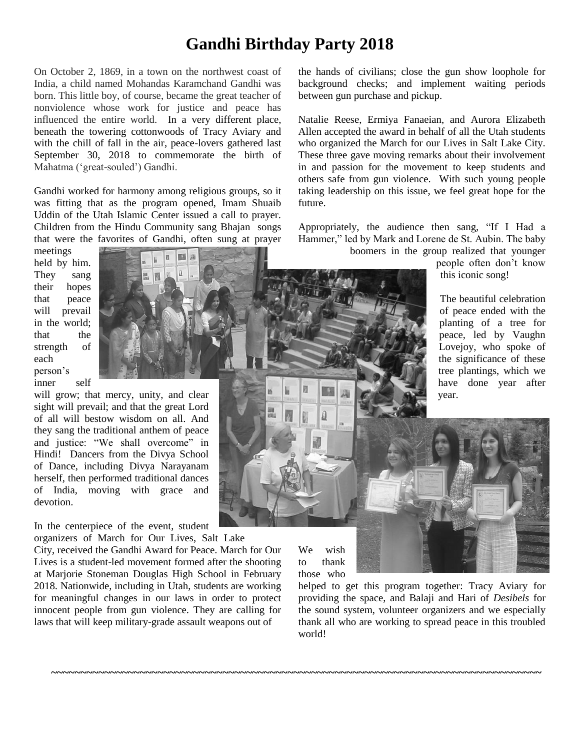## **Gandhi Birthday Party 2018**

On October 2, 1869, in a town on the northwest coast of India, a child named Mohandas Karamchand Gandhi was born. This little boy, of course, became the great teacher of nonviolence whose work for justice and peace has influenced the entire world. In a very different place, beneath the towering cottonwoods of Tracy Aviary and with the chill of fall in the air, peace-lovers gathered last September 30, 2018 to commemorate the birth of Mahatma ('great-souled') Gandhi.

Gandhi worked for harmony among religious groups, so it was fitting that as the program opened, Imam Shuaib Uddin of the Utah Islamic Center issued a call to prayer. Children from the Hindu Community sang Bhajan songs that were the favorites of Gandhi, often sung at prayer

meetings held by him. They sang their hopes that peace will prevail in the world; that the strength of each person's inner self

will grow; that mercy, unity, and clear sight will prevail; and that the great Lord of all will bestow wisdom on all. And they sang the traditional anthem of peace and justice: "We shall overcome" in Hindi! Dancers from the Divya School of Dance, including Divya Narayanam herself, then performed traditional dances of India, moving with grace and devotion.

In the centerpiece of the event, student organizers of March for Our Lives, Salt Lake

City, received the Gandhi Award for Peace. March for Our Lives is a student-led movement formed after the shooting at Marjorie Stoneman Douglas High School in February 2018. Nationwide, including in Utah, students are working for meaningful changes in our laws in order to protect innocent people from gun violence. They are calling for laws that will keep military-grade assault weapons out of

We wish to thank those who

**~~~~~~~~~~~~~~~~~~~~~~~~~~~~~~~~~~~~~~~~~~~~~~~~~~~~~~~~~~~~~~~~~~~~~~~~~~~~~~~~~~~**

helped to get this program together: Tracy Aviary for providing the space, and Balaji and Hari of *Desibels* for the sound system, volunteer organizers and we especially thank all who are working to spread peace in this troubled world!

the hands of civilians; close the gun show loophole for background checks; and implement waiting periods between gun purchase and pickup.

Natalie Reese, Ermiya Fanaeian, and Aurora Elizabeth Allen accepted the award in behalf of all the Utah students who organized the March for our Lives in Salt Lake City. These three gave moving remarks about their involvement in and passion for the movement to keep students and others safe from gun violence. With such young people taking leadership on this issue, we feel great hope for the future.

Appropriately, the audience then sang, "If I Had a Hammer," led by Mark and Lorene de St. Aubin. The baby boomers in the group realized that younger

people often don't know this iconic song!

The beautiful celebration of peace ended with the planting of a tree for peace, led by Vaughn Lovejoy, who spoke of the significance of these tree plantings, which we have done year after year.

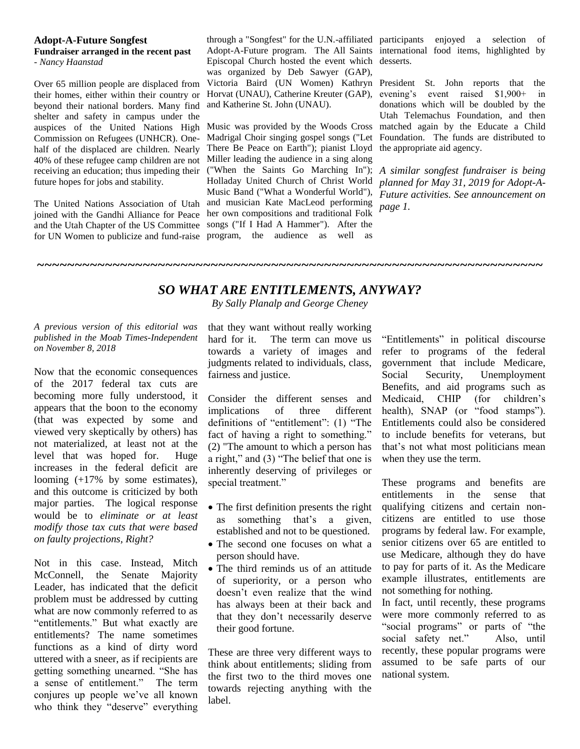#### **Adopt-A-Future Songfest Fundraiser arranged in the recent past** *- Nancy Haanstad*

Over 65 million people are displaced from their homes, either within their country or beyond their national borders. Many find shelter and safety in campus under the Commission on Refugees (UNHCR). Onehalf of the displaced are children. Nearly 40% of these refugee camp children are not receiving an education; thus impeding their future hopes for jobs and stability.

The United Nations Association of Utah joined with the Gandhi Alliance for Peace and the Utah Chapter of the US Committee for UN Women to publicize and fund-raise program, the audience as well as

through a "Songfest" for the U.N.-affiliated participants enjoyed a selection of Adopt-A-Future program. The All Saints international food items, highlighted by Episcopal Church hosted the event which desserts. was organized by Deb Sawyer (GAP), Victoria Baird (UN Women) Kathryn President St. John reports that the Horvat (UNAU), Catherine Kreuter (GAP), and Katherine St. John (UNAU).

auspices of the United Nations High Music was provided by the Woods Cross matched again by the Educate a Child Madrigal Choir singing gospel songs ("Let There Be Peace on Earth"); pianist Lloyd Miller leading the audience in a sing along ("When the Saints Go Marching In"); Holladay United Church of Christ World Music Band ("What a Wonderful World"), *Future activities. See announcement on*  and musician Kate MacLeod performing her own compositions and traditional Folk songs ("If I Had A Hammer"). After the

evening's event raised \$1,900+ in donations which will be doubled by the Utah Telemachus Foundation, and then Foundation. The funds are distributed to the appropriate aid agency.

*A similar songfest fundraiser is being planned for May 31, 2019 for Adopt-Apage 1.*

### *SO WHAT ARE ENTITLEMENTS, ANYWAY?*

*~~~~~~~~~~~~~~~~~~~~~~~~~~~~~~~~~~~~~~~~~~~~~~~~~~~~~~~~~~~~~~~~~~~*

*By Sally Planalp and George Cheney*

*A previous version of this editorial was published in the Moab Times-Independent on November 8, 2018*

Now that the economic consequences of the 2017 federal tax cuts are becoming more fully understood, it appears that the boon to the economy (that was expected by some and viewed very skeptically by others) has not materialized, at least not at the level that was hoped for. Huge increases in the federal deficit are looming (+17% by some estimates), and this outcome is criticized by both major parties. The logical response would be to *eliminate or at least modify those tax cuts that were based on faulty projections, Right?* 

Not in this case. Instead, Mitch McConnell, the Senate Majority Leader, has indicated that the deficit problem must be addressed by cutting what are now commonly referred to as "entitlements." But what exactly are entitlements? The name sometimes functions as a kind of dirty word uttered with a sneer, as if recipients are getting something unearned. "She has a sense of entitlement." The term conjures up people we've all known who think they "deserve" everything

that they want without really working hard for it. The term can move us towards a variety of images and judgments related to individuals, class, fairness and justice.

Consider the different senses and implications of three different definitions of "entitlement": (1) "The fact of having a right to something." (2) "The amount to which a person has a right," and (3) "The belief that one is inherently deserving of privileges or special treatment."

- The first definition presents the right as something that's a given, established and not to be questioned.
- The second one focuses on what a person should have.
- The third reminds us of an attitude of superiority, or a person who doesn't even realize that the wind has always been at their back and that they don't necessarily deserve their good fortune.

These are three very different ways to think about entitlements; sliding from the first two to the third moves one towards rejecting anything with the label.

"Entitlements" in political discourse refer to programs of the federal government that include Medicare, Social Security, Unemployment Benefits, and aid programs such as Medicaid, CHIP (for children's health), SNAP (or "food stamps"). Entitlements could also be considered to include benefits for veterans, but that's not what most politicians mean when they use the term.

These programs and benefits are entitlements in the sense that qualifying citizens and certain noncitizens are entitled to use those programs by federal law. For example, senior citizens over 65 are entitled to use Medicare, although they do have to pay for parts of it. As the Medicare example illustrates, entitlements are not something for nothing.

In fact, until recently, these programs were more commonly referred to as "social programs" or parts of "the social safety net." Also, until recently, these popular programs were assumed to be safe parts of our national system.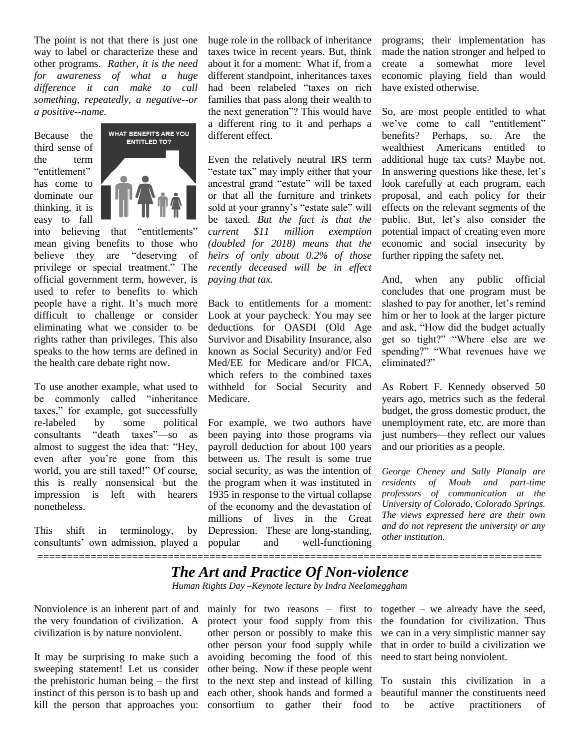The point is not that there is just one way to label or characterize these and other programs. *Rather, it is the need for awareness of what a huge difference it can make to call something, repeatedly, a negative--or a positive--name.*

Because the third sense of the term "entitlement" has come to dominate our thinking, it is easy to fall



into believing that "entitlements" mean giving benefits to those who believe they are "deserving of privilege or special treatment." The official government term, however, is used to refer to benefits to which people have a right. It's much more difficult to challenge or consider eliminating what we consider to be rights rather than privileges. This also speaks to the how terms are defined in the health care debate right now.

To use another example, what used to be commonly called "inheritance taxes," for example, got successfully re-labeled by some political consultants "death taxes"—so as almost to suggest the idea that: "Hey, even after you're gone from this world, you are still taxed!" Of course, this is really nonsensical but the impression is left with hearers nonetheless.

This shift in terminology, by consultants' own admission, played a

huge role in the rollback of inheritance taxes twice in recent years. But, think about it for a moment: What if, from a different standpoint, inheritances taxes had been relabeled "taxes on rich families that pass along their wealth to the next generation"? This would have a different ring to it and perhaps a different effect.

Even the relatively neutral IRS term "estate tax" may imply either that your ancestral grand "estate" will be taxed or that all the furniture and trinkets sold at your granny's "estate sale" will be taxed. *But the fact is that the current \$11 million exemption (doubled for 2018) means that the heirs of only about 0.2% of those recently deceased will be in effect paying that tax.* 

Back to entitlements for a moment: Look at your paycheck. You may see deductions for OASDI (Old Age Survivor and Disability Insurance, also known as Social Security) and/or Fed Med/EE for Medicare and/or FICA, which refers to the combined taxes withheld for Social Security and Medicare.

For example, we two authors have been paying into those programs via payroll deduction for about 100 years between us. The result is some true social security, as was the intention of the program when it was instituted in 1935 in response to the virtual collapse of the economy and the devastation of millions of lives in the Great Depression. These are long-standing, and well-functioning

programs; their implementation has made the nation stronger and helped to create a somewhat more level economic playing field than would have existed otherwise.

So, are most people entitled to what we've come to call "entitlement" benefits? Perhaps, so. Are the wealthiest Americans entitled to additional huge tax cuts? Maybe not. In answering questions like these, let's look carefully at each program, each proposal, and each policy for their effects on the relevant segments of the public. But, let's also consider the potential impact of creating even more economic and social insecurity by further ripping the safety net.

And, when any public official concludes that one program must be slashed to pay for another, let's remind him or her to look at the larger picture and ask, "How did the budget actually get so tight?" "Where else are we spending?" "What revenues have we eliminated?"

As Robert F. Kennedy observed 50 years ago, metrics such as the federal budget, the gross domestic product, the unemployment rate, etc. are more than just numbers—they reflect our values and our priorities as a people.

*George Cheney and Sally Planalp are residents of Moab and part-time professors of communication at the University of Colorado, Colorado Springs. The views expressed here are their own and do not represent the university or any other institution.* 

**=====================================================================================**

# *The Art and Practice Of Non-violence*

*Human Rights Day –Keynote lecture by Indra Neelameggham*

Nonviolence is an inherent part of and the very foundation of civilization. A civilization is by nature nonviolent.

It may be surprising to make such a sweeping statement! Let us consider the prehistoric human being – the first instinct of this person is to bash up and kill the person that approaches you:

mainly for two reasons – first to protect your food supply from this other person or possibly to make this other person your food supply while avoiding becoming the food of this other being. Now if these people went to the next step and instead of killing consortium to gather their food

together – we already have the seed, the foundation for civilization. Thus we can in a very simplistic manner say that in order to build a civilization we need to start being nonviolent.

each other, shook hands and formed a beautiful manner the constituents need To sustain this civilization in a be active practitioners of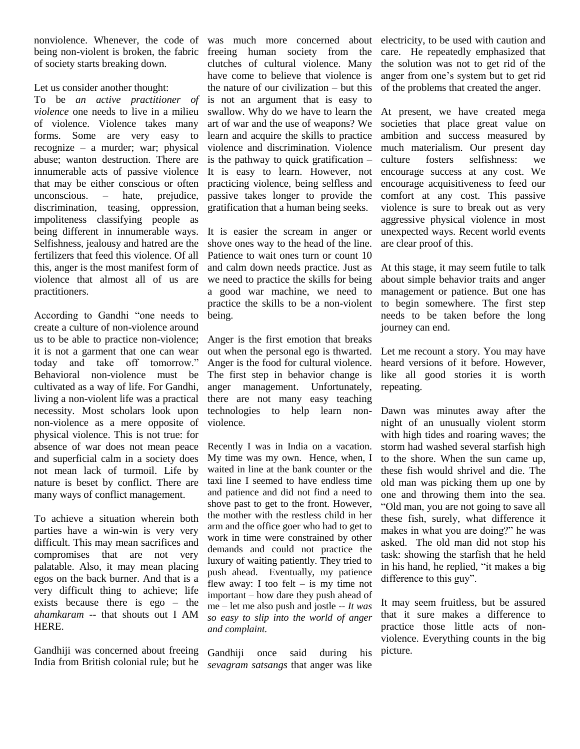being non-violent is broken, the fabric of society starts breaking down.

Let us consider another thought:

To be *an active practitioner of violence* one needs to live in a milieu of violence. Violence takes many forms. Some are very easy to recognize – a murder; war; physical abuse; wanton destruction. There are innumerable acts of passive violence that may be either conscious or often unconscious. – hate, prejudice, discrimination, teasing, oppression, impoliteness classifying people as being different in innumerable ways. Selfishness, jealousy and hatred are the fertilizers that feed this violence. Of all this, anger is the most manifest form of violence that almost all of us are practitioners.

According to Gandhi "one needs to create a culture of non-violence around us to be able to practice non-violence; it is not a garment that one can wear today and take off tomorrow." Behavioral non-violence must be cultivated as a way of life. For Gandhi, living a non-violent life was a practical necessity. Most scholars look upon non-violence as a mere opposite of physical violence. This is not true: for absence of war does not mean peace and superficial calm in a society does not mean lack of turmoil. Life by nature is beset by conflict. There are many ways of conflict management.

To achieve a situation wherein both parties have a win-win is very very difficult. This may mean sacrifices and compromises that are not very palatable. Also, it may mean placing egos on the back burner. And that is a very difficult thing to achieve; life exists because there is ego – the *ahamkaram* -- that shouts out I AM HERE.

Gandhiji was concerned about freeing India from British colonial rule; but he

nonviolence. Whenever, the code of was much more concerned about electricity, to be used with caution and freeing human society from the clutches of cultural violence. Many have come to believe that violence is the nature of our civilization – but this is not an argument that is easy to swallow. Why do we have to learn the art of war and the use of weapons? We learn and acquire the skills to practice violence and discrimination. Violence is the pathway to quick gratification – It is easy to learn. However, not practicing violence, being selfless and passive takes longer to provide the gratification that a human being seeks.

> It is easier the scream in anger or shove ones way to the head of the line. Patience to wait ones turn or count 10 and calm down needs practice. Just as we need to practice the skills for being a good war machine, we need to practice the skills to be a non-violent being.

> Anger is the first emotion that breaks out when the personal ego is thwarted. Anger is the food for cultural violence. The first step in behavior change is anger management. Unfortunately, there are not many easy teaching technologies to help learn nonviolence.

> Recently I was in India on a vacation. My time was my own. Hence, when, I waited in line at the bank counter or the taxi line I seemed to have endless time and patience and did not find a need to shove past to get to the front. However, the mother with the restless child in her arm and the office goer who had to get to work in time were constrained by other demands and could not practice the luxury of waiting patiently. They tried to push ahead. Eventually, my patience flew away: I too felt  $-$  is my time not important – how dare they push ahead of me – let me also push and jostle -- *It was so easy to slip into the world of anger and complaint.*

Gandhiji once said during his *sevagram satsangs* that anger was like

care. He repeatedly emphasized that the solution was not to get rid of the anger from one's system but to get rid of the problems that created the anger.

At present, we have created mega societies that place great value on ambition and success measured by much materialism. Our present day culture fosters selfishness: we encourage success at any cost. We encourage acquisitiveness to feed our comfort at any cost. This passive violence is sure to break out as very aggressive physical violence in most unexpected ways. Recent world events are clear proof of this.

At this stage, it may seem futile to talk about simple behavior traits and anger management or patience. But one has to begin somewhere. The first step needs to be taken before the long journey can end.

Let me recount a story. You may have heard versions of it before. However, like all good stories it is worth repeating.

Dawn was minutes away after the night of an unusually violent storm with high tides and roaring waves; the storm had washed several starfish high to the shore. When the sun came up, these fish would shrivel and die. The old man was picking them up one by one and throwing them into the sea. "Old man, you are not going to save all these fish, surely, what difference it makes in what you are doing?" he was asked. The old man did not stop his task: showing the starfish that he held in his hand, he replied, "it makes a big difference to this guy".

It may seem fruitless, but be assured that it sure makes a difference to practice those little acts of nonviolence. Everything counts in the big picture.